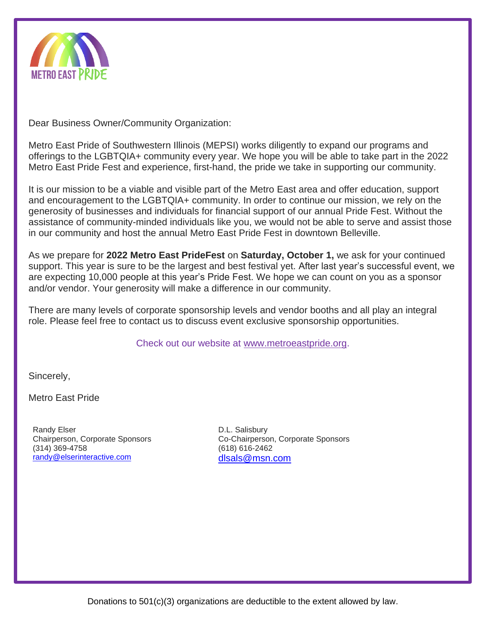

Dear Business Owner/Community Organization:

Metro East Pride of Southwestern Illinois (MEPSI) works diligently to expand our programs and offerings to the LGBTQIA+ community every year. We hope you will be able to take part in the 2022 Metro East Pride Fest and experience, first-hand, the pride we take in supporting our community.

It is our mission to be a viable and visible part of the Metro East area and offer education, support and encouragement to the LGBTQIA+ community. In order to continue our mission, we rely on the generosity of businesses and individuals for financial support of our annual Pride Fest. Without the assistance of community-minded individuals like you, we would not be able to serve and assist those in our community and host the annual Metro East Pride Fest in downtown Belleville.

As we prepare for **2022 Metro East PrideFest** on **Saturday, October 1,** we ask for your continued support. This year is sure to be the largest and best festival yet. After last year's successful event, we are expecting 10,000 people at this year's Pride Fest. We hope we can count on you as a sponsor and/or vendor. Your generosity will make a difference in our community.

There are many levels of corporate sponsorship levels and vendor booths and all play an integral role. Please feel free to contact us to discuss event exclusive sponsorship opportunities.

Check out our website at www.metroeastpride.org.

Sincerely,

Metro East Pride

Randy Elser Chairperson, Corporate Sponsors (314) 369-4758 [randy@elserinteractive.com](mailto:randy@elserinteractive.com)

D.L. Salisbury Co-Chairperson, Corporate Sponsors (618) 616-2462 [dlsals@msn.com](mailto:dlsals@msn.com)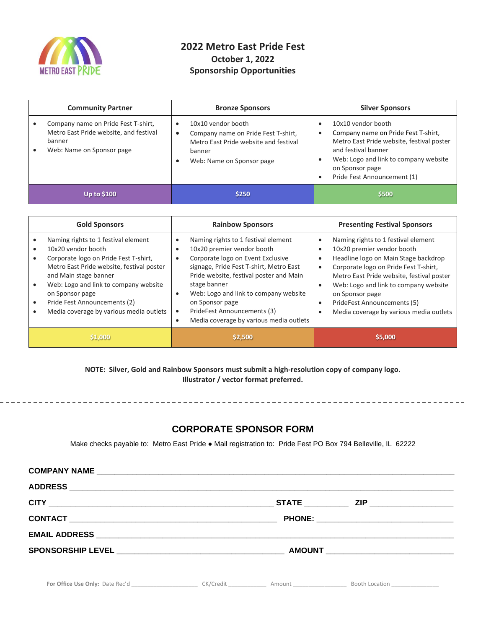

## **2022 Metro East Pride Fest October 1, 2022 Sponsorship Opportunities**

| <b>Community Partner</b> |                                                                                                                      | <b>Bronze Sponsors</b>                                                                                                                                 | <b>Silver Sponsors</b>                                                                                                                                                                                                   |  |
|--------------------------|----------------------------------------------------------------------------------------------------------------------|--------------------------------------------------------------------------------------------------------------------------------------------------------|--------------------------------------------------------------------------------------------------------------------------------------------------------------------------------------------------------------------------|--|
|                          | Company name on Pride Fest T-shirt,<br>Metro East Pride website, and festival<br>banner<br>Web: Name on Sponsor page | 10x10 vendor booth<br>Company name on Pride Fest T-shirt,<br>$\bullet$<br>Metro East Pride website and festival<br>banner<br>Web: Name on Sponsor page | 10x10 vendor booth<br>Company name on Pride Fest T-shirt,<br>Metro East Pride website, festival poster<br>and festival banner<br>Web: Logo and link to company website<br>on Sponsor page<br>Pride Fest Announcement (1) |  |
|                          | <b>Up to \$100</b>                                                                                                   | \$250                                                                                                                                                  | \$500                                                                                                                                                                                                                    |  |

| <b>Gold Sponsors</b>                                                                                                                                                                                                                                                                                            | <b>Rainbow Sponsors</b>                                                                                                                                                                                                                                                                                                                                                      | <b>Presenting Festival Sponsors</b>                                                                                                                                                                                                                                                                                                   |  |
|-----------------------------------------------------------------------------------------------------------------------------------------------------------------------------------------------------------------------------------------------------------------------------------------------------------------|------------------------------------------------------------------------------------------------------------------------------------------------------------------------------------------------------------------------------------------------------------------------------------------------------------------------------------------------------------------------------|---------------------------------------------------------------------------------------------------------------------------------------------------------------------------------------------------------------------------------------------------------------------------------------------------------------------------------------|--|
| Naming rights to 1 festival element<br>10x20 vendor booth<br>Corporate logo on Pride Fest T-shirt,<br>Metro East Pride website, festival poster<br>and Main stage banner<br>Web: Logo and link to company website<br>on Sponsor page<br>Pride Fest Announcements (2)<br>Media coverage by various media outlets | Naming rights to 1 festival element<br>10x20 premier vendor booth<br>Corporate logo on Event Exclusive<br>signage, Pride Fest T-shirt, Metro East<br>Pride website, festival poster and Main<br>stage banner<br>Web: Logo and link to company website<br>$\bullet$<br>on Sponsor page<br>PrideFest Announcements (3)<br>$\bullet$<br>Media coverage by various media outlets | Naming rights to 1 festival element<br>10x20 premier vendor booth<br>Headline logo on Main Stage backdrop<br>Corporate logo on Pride Fest T-shirt,<br>Metro East Pride website, festival poster<br>Web: Logo and link to company website<br>on Sponsor page<br>PrideFest Announcements (5)<br>Media coverage by various media outlets |  |
| \$1,000                                                                                                                                                                                                                                                                                                         | \$2,500                                                                                                                                                                                                                                                                                                                                                                      | \$5,000                                                                                                                                                                                                                                                                                                                               |  |

**NOTE: Silver, Gold and Rainbow Sponsors must submit a high-resolution copy of company logo. Illustrator / vector format preferred.**

## **CORPORATE SPONSOR FORM**

Make checks payable to: Metro East Pride ● Mail registration to: Pride Fest PO Box 794 Belleville, IL 62222